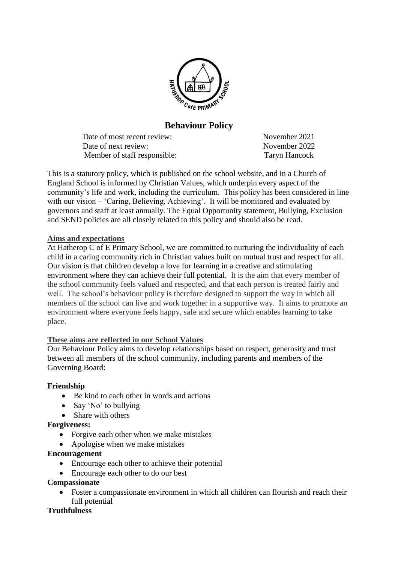

# **Behaviour Policy**

Date of most recent review: November 2021 Date of next review: November 2022 Member of staff responsible: Taryn Hancock

This is a statutory policy, which is published on the school website, and in a Church of England School is informed by Christian Values, which underpin every aspect of the community's life and work, including the curriculum. This policy has been considered in line with our vision – 'Caring, Believing, Achieving'. It will be monitored and evaluated by governors and staff at least annually. The Equal Opportunity statement, Bullying, Exclusion and SEND policies are all closely related to this policy and should also be read.

#### **Aims and expectations**

At Hatherop C of E Primary School, we are committed to nurturing the individuality of each child in a caring community rich in Christian values built on mutual trust and respect for all. Our vision is that children develop a love for learning in a creative and stimulating environment where they can achieve their full potential. It is the aim that every member of the school community feels valued and respected, and that each person is treated fairly and well. The school's behaviour policy is therefore designed to support the way in which all members of the school can live and work together in a supportive way. It aims to promote an environment where everyone feels happy, safe and secure which enables learning to take place.

# **These aims are reflected in our School Values**

Our Behaviour Policy aims to develop relationships based on respect, generosity and trust between all members of the school community, including parents and members of the Governing Board:

#### **Friendship**

- Be kind to each other in words and actions
- Say 'No' to bullying
- Share with others

#### **Forgiveness:**

- Forgive each other when we make mistakes
- Apologise when we make mistakes

## **Encouragement**

- Encourage each other to achieve their potential
- Encourage each other to do our best

#### **Compassionate**

 Foster a compassionate environment in which all children can flourish and reach their full potential

# **Truthfulness**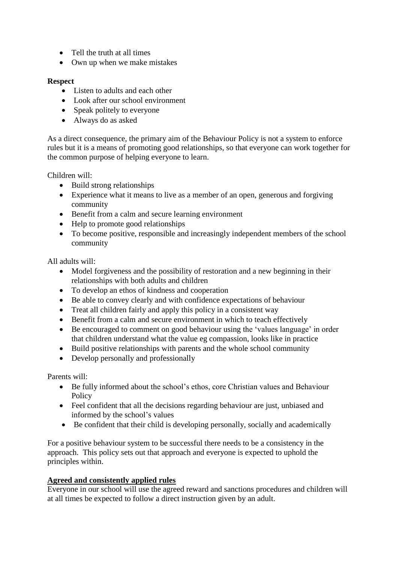- Tell the truth at all times
- Own up when we make mistakes

#### **Respect**

- Listen to adults and each other
- Look after our school environment
- Speak politely to everyone
- Always do as asked

As a direct consequence, the primary aim of the Behaviour Policy is not a system to enforce rules but it is a means of promoting good relationships, so that everyone can work together for the common purpose of helping everyone to learn.

Children will:

- Build strong relationships
- Experience what it means to live as a member of an open, generous and forgiving community
- Benefit from a calm and secure learning environment
- Help to promote good relationships
- To become positive, responsible and increasingly independent members of the school community

All adults will:

- Model forgiveness and the possibility of restoration and a new beginning in their relationships with both adults and children
- To develop an ethos of kindness and cooperation
- Be able to convey clearly and with confidence expectations of behaviour
- Treat all children fairly and apply this policy in a consistent way
- Benefit from a calm and secure environment in which to teach effectively
- Be encouraged to comment on good behaviour using the 'values language' in order that children understand what the value eg compassion, looks like in practice
- Build positive relationships with parents and the whole school community
- Develop personally and professionally

Parents will:

- Be fully informed about the school's ethos, core Christian values and Behaviour Policy
- Feel confident that all the decisions regarding behaviour are just, unbiased and informed by the school's values
- Be confident that their child is developing personally, socially and academically

For a positive behaviour system to be successful there needs to be a consistency in the approach. This policy sets out that approach and everyone is expected to uphold the principles within.

# **Agreed and consistently applied rules**

Everyone in our school will use the agreed reward and sanctions procedures and children will at all times be expected to follow a direct instruction given by an adult.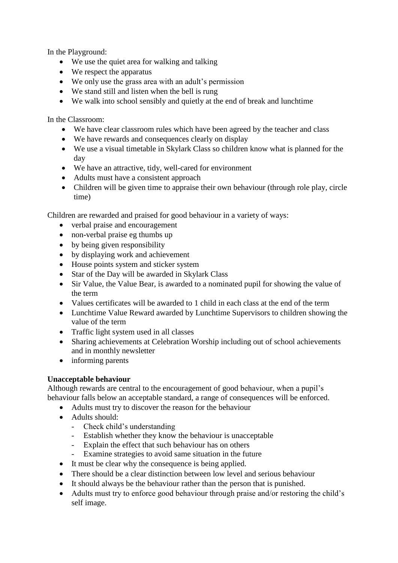In the Playground:

- We use the quiet area for walking and talking
- We respect the apparatus
- We only use the grass area with an adult's permission
- We stand still and listen when the bell is rung
- We walk into school sensibly and quietly at the end of break and lunchtime

In the Classroom:

- We have clear classroom rules which have been agreed by the teacher and class
- We have rewards and consequences clearly on display
- We use a visual timetable in Skylark Class so children know what is planned for the day
- We have an attractive, tidy, well-cared for environment
- Adults must have a consistent approach
- Children will be given time to appraise their own behaviour (through role play, circle time)

Children are rewarded and praised for good behaviour in a variety of ways:

- verbal praise and encouragement
- non-verbal praise eg thumbs up
- by being given responsibility
- by displaying work and achievement
- House points system and sticker system
- Star of the Day will be awarded in Skylark Class
- Sir Value, the Value Bear, is awarded to a nominated pupil for showing the value of the term
- Values certificates will be awarded to 1 child in each class at the end of the term
- Lunchtime Value Reward awarded by Lunchtime Supervisors to children showing the value of the term
- Traffic light system used in all classes
- Sharing achievements at Celebration Worship including out of school achievements and in monthly newsletter
- informing parents

# **Unacceptable behaviour**

Although rewards are central to the encouragement of good behaviour, when a pupil's behaviour falls below an acceptable standard, a range of consequences will be enforced.

- Adults must try to discover the reason for the behaviour
- Adults should:
	- Check child's understanding
	- Establish whether they know the behaviour is unacceptable
	- Explain the effect that such behaviour has on others
	- Examine strategies to avoid same situation in the future
- It must be clear why the consequence is being applied.
- There should be a clear distinction between low level and serious behaviour
- It should always be the behaviour rather than the person that is punished.
- Adults must try to enforce good behaviour through praise and/or restoring the child's self image.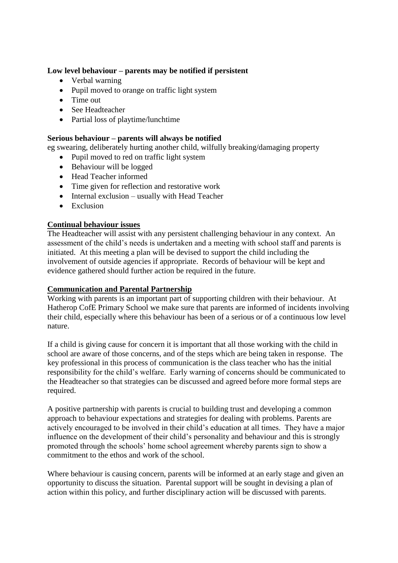#### **Low level behaviour – parents may be notified if persistent**

- Verbal warning
- Pupil moved to orange on traffic light system
- Time out
- See Headteacher
- Partial loss of playtime/lunchtime

#### **Serious behaviour – parents will always be notified**

eg swearing, deliberately hurting another child, wilfully breaking/damaging property

- Pupil moved to red on traffic light system
- Behaviour will be logged
- Head Teacher informed
- Time given for reflection and restorative work
- Internal exclusion usually with Head Teacher
- Exclusion

#### **Continual behaviour issues**

The Headteacher will assist with any persistent challenging behaviour in any context. An assessment of the child's needs is undertaken and a meeting with school staff and parents is initiated. At this meeting a plan will be devised to support the child including the involvement of outside agencies if appropriate. Records of behaviour will be kept and evidence gathered should further action be required in the future.

#### **Communication and Parental Partnership**

Working with parents is an important part of supporting children with their behaviour. At Hatherop CofE Primary School we make sure that parents are informed of incidents involving their child, especially where this behaviour has been of a serious or of a continuous low level nature.

If a child is giving cause for concern it is important that all those working with the child in school are aware of those concerns, and of the steps which are being taken in response. The key professional in this process of communication is the class teacher who has the initial responsibility for the child's welfare. Early warning of concerns should be communicated to the Headteacher so that strategies can be discussed and agreed before more formal steps are required.

A positive partnership with parents is crucial to building trust and developing a common approach to behaviour expectations and strategies for dealing with problems. Parents are actively encouraged to be involved in their child's education at all times. They have a major influence on the development of their child's personality and behaviour and this is strongly promoted through the schools' home school agreement whereby parents sign to show a commitment to the ethos and work of the school.

Where behaviour is causing concern, parents will be informed at an early stage and given an opportunity to discuss the situation. Parental support will be sought in devising a plan of action within this policy, and further disciplinary action will be discussed with parents.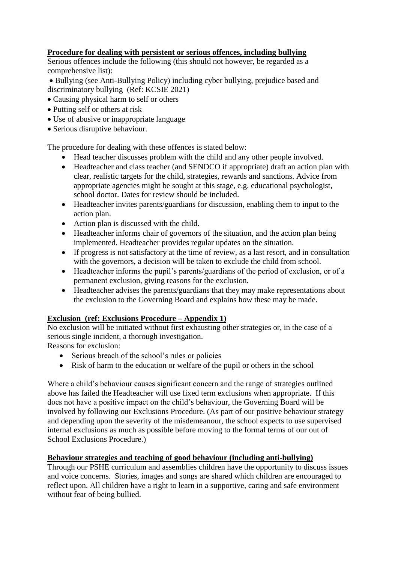## **Procedure for dealing with persistent or serious offences, including bullying**

Serious offences include the following (this should not however, be regarded as a comprehensive list):

 Bullying (see Anti-Bullying Policy) including cyber bullying, prejudice based and discriminatory bullying (Ref: KCSIE 2021)

- Causing physical harm to self or others
- Putting self or others at risk
- Use of abusive or inappropriate language
- Serious disruptive behaviour.

The procedure for dealing with these offences is stated below:

- Head teacher discusses problem with the child and any other people involved.
- Headteacher and class teacher (and SENDCO if appropriate) draft an action plan with clear, realistic targets for the child, strategies, rewards and sanctions. Advice from appropriate agencies might be sought at this stage, e.g. educational psychologist, school doctor. Dates for review should be included.
- Headteacher invites parents/guardians for discussion, enabling them to input to the action plan.
- Action plan is discussed with the child.
- Headteacher informs chair of governors of the situation, and the action plan being implemented. Headteacher provides regular updates on the situation.
- If progress is not satisfactory at the time of review, as a last resort, and in consultation with the governors, a decision will be taken to exclude the child from school.
- Headteacher informs the pupil's parents/guardians of the period of exclusion, or of a permanent exclusion, giving reasons for the exclusion.
- Headteacher advises the parents/guardians that they may make representations about the exclusion to the Governing Board and explains how these may be made.

# **Exclusion (ref: Exclusions Procedure – Appendix 1)**

No exclusion will be initiated without first exhausting other strategies or, in the case of a serious single incident, a thorough investigation.

Reasons for exclusion:

- Serious breach of the school's rules or policies
- Risk of harm to the education or welfare of the pupil or others in the school

Where a child's behaviour causes significant concern and the range of strategies outlined above has failed the Headteacher will use fixed term exclusions when appropriate. If this does not have a positive impact on the child's behaviour, the Governing Board will be involved by following our Exclusions Procedure. (As part of our positive behaviour strategy and depending upon the severity of the misdemeanour, the school expects to use supervised internal exclusions as much as possible before moving to the formal terms of our out of School Exclusions Procedure.)

#### **Behaviour strategies and teaching of good behaviour (including anti-bullying)**

Through our PSHE curriculum and assemblies children have the opportunity to discuss issues and voice concerns. Stories, images and songs are shared which children are encouraged to reflect upon. All children have a right to learn in a supportive, caring and safe environment without fear of being bullied.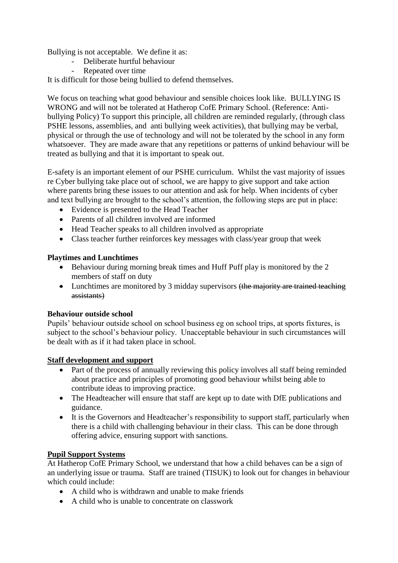Bullying is not acceptable. We define it as:

- Deliberate hurtful behaviour
	- Repeated over time

It is difficult for those being bullied to defend themselves.

We focus on teaching what good behaviour and sensible choices look like. BULLYING IS WRONG and will not be tolerated at Hatherop CofE Primary School. (Reference: Antibullying Policy) To support this principle, all children are reminded regularly, (through class PSHE lessons, assemblies, and anti bullying week activities), that bullying may be verbal, physical or through the use of technology and will not be tolerated by the school in any form whatsoever. They are made aware that any repetitions or patterns of unkind behaviour will be treated as bullying and that it is important to speak out.

E-safety is an important element of our PSHE curriculum. Whilst the vast majority of issues re Cyber bullying take place out of school, we are happy to give support and take action where parents bring these issues to our attention and ask for help. When incidents of cyber and text bullying are brought to the school's attention, the following steps are put in place:

- Evidence is presented to the Head Teacher
- Parents of all children involved are informed
- Head Teacher speaks to all children involved as appropriate
- Class teacher further reinforces key messages with class/year group that week

#### **Playtimes and Lunchtimes**

- Behaviour during morning break times and Huff Puff play is monitored by the 2 members of staff on duty
- Lunchtimes are monitored by 3 midday supervisors (the majority are trained teaching assistants)

#### **Behaviour outside school**

Pupils' behaviour outside school on school business eg on school trips, at sports fixtures, is subject to the school's behaviour policy. Unacceptable behaviour in such circumstances will be dealt with as if it had taken place in school.

#### **Staff development and support**

- Part of the process of annually reviewing this policy involves all staff being reminded about practice and principles of promoting good behaviour whilst being able to contribute ideas to improving practice.
- The Headteacher will ensure that staff are kept up to date with DfE publications and guidance.
- It is the Governors and Headteacher's responsibility to support staff, particularly when there is a child with challenging behaviour in their class. This can be done through offering advice, ensuring support with sanctions.

#### **Pupil Support Systems**

At Hatherop CofE Primary School, we understand that how a child behaves can be a sign of an underlying issue or trauma. Staff are trained (TISUK) to look out for changes in behaviour which could include:

- A child who is withdrawn and unable to make friends
- A child who is unable to concentrate on classwork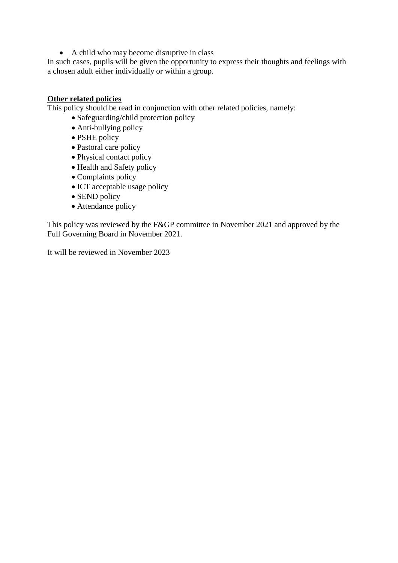A child who may become disruptive in class

In such cases, pupils will be given the opportunity to express their thoughts and feelings with a chosen adult either individually or within a group.

#### **Other related policies**

This policy should be read in conjunction with other related policies, namely:

- Safeguarding/child protection policy
- Anti-bullying policy
- PSHE policy
- Pastoral care policy
- Physical contact policy
- Health and Safety policy
- Complaints policy
- ICT acceptable usage policy
- SEND policy
- Attendance policy

This policy was reviewed by the F&GP committee in November 2021 and approved by the Full Governing Board in November 2021.

It will be reviewed in November 2023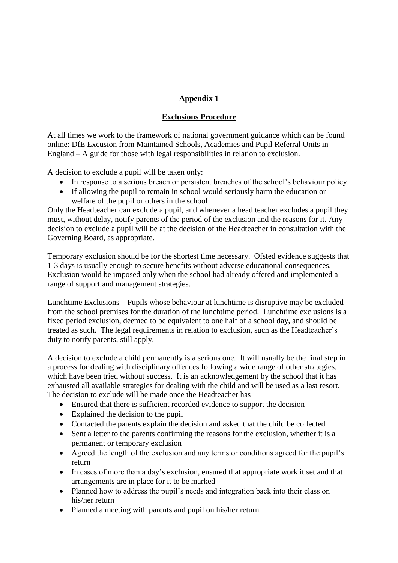## **Appendix 1**

## **Exclusions Procedure**

At all times we work to the framework of national government guidance which can be found online: DfE Excusion from Maintained Schools, Academies and Pupil Referral Units in England – A guide for those with legal responsibilities in relation to exclusion.

A decision to exclude a pupil will be taken only:

- In response to a serious breach or persistent breaches of the school's behaviour policy
- If allowing the pupil to remain in school would seriously harm the education or welfare of the pupil or others in the school

Only the Headteacher can exclude a pupil, and whenever a head teacher excludes a pupil they must, without delay, notify parents of the period of the exclusion and the reasons for it. Any decision to exclude a pupil will be at the decision of the Headteacher in consultation with the Governing Board, as appropriate.

Temporary exclusion should be for the shortest time necessary. Ofsted evidence suggests that 1-3 days is usually enough to secure benefits without adverse educational consequences. Exclusion would be imposed only when the school had already offered and implemented a range of support and management strategies.

Lunchtime Exclusions – Pupils whose behaviour at lunchtime is disruptive may be excluded from the school premises for the duration of the lunchtime period. Lunchtime exclusions is a fixed period exclusion, deemed to be equivalent to one half of a school day, and should be treated as such. The legal requirements in relation to exclusion, such as the Headteacher's duty to notify parents, still apply.

A decision to exclude a child permanently is a serious one. It will usually be the final step in a process for dealing with disciplinary offences following a wide range of other strategies, which have been tried without success. It is an acknowledgement by the school that it has exhausted all available strategies for dealing with the child and will be used as a last resort. The decision to exclude will be made once the Headteacher has

- Ensured that there is sufficient recorded evidence to support the decision
- Explained the decision to the pupil
- Contacted the parents explain the decision and asked that the child be collected
- Sent a letter to the parents confirming the reasons for the exclusion, whether it is a permanent or temporary exclusion
- Agreed the length of the exclusion and any terms or conditions agreed for the pupil's return
- In cases of more than a day's exclusion, ensured that appropriate work it set and that arrangements are in place for it to be marked
- Planned how to address the pupil's needs and integration back into their class on his/her return
- Planned a meeting with parents and pupil on his/her return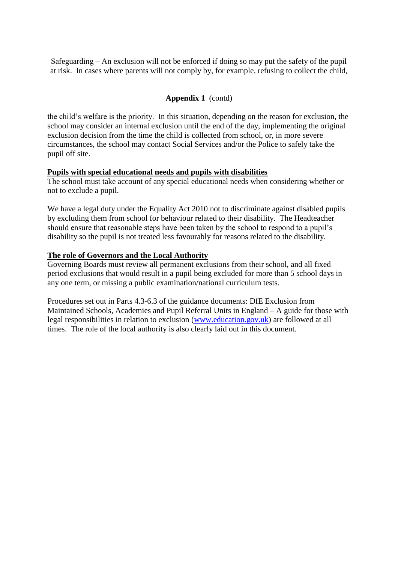Safeguarding – An exclusion will not be enforced if doing so may put the safety of the pupil at risk. In cases where parents will not comply by, for example, refusing to collect the child,

#### **Appendix 1** (contd)

the child's welfare is the priority. In this situation, depending on the reason for exclusion, the school may consider an internal exclusion until the end of the day, implementing the original exclusion decision from the time the child is collected from school, or, in more severe circumstances, the school may contact Social Services and/or the Police to safely take the pupil off site.

#### **Pupils with special educational needs and pupils with disabilities**

The school must take account of any special educational needs when considering whether or not to exclude a pupil.

We have a legal duty under the Equality Act 2010 not to discriminate against disabled pupils by excluding them from school for behaviour related to their disability. The Headteacher should ensure that reasonable steps have been taken by the school to respond to a pupil's disability so the pupil is not treated less favourably for reasons related to the disability.

#### **The role of Governors and the Local Authority**

Governing Boards must review all permanent exclusions from their school, and all fixed period exclusions that would result in a pupil being excluded for more than 5 school days in any one term, or missing a public examination/national curriculum tests.

Procedures set out in Parts 4.3-6.3 of the guidance documents: DfE Exclusion from Maintained Schools, Academies and Pupil Referral Units in England – A guide for those with legal responsibilities in relation to exclusion [\(www.education.gov.uk\)](http://www.education.gov.uk/) are followed at all times. The role of the local authority is also clearly laid out in this document.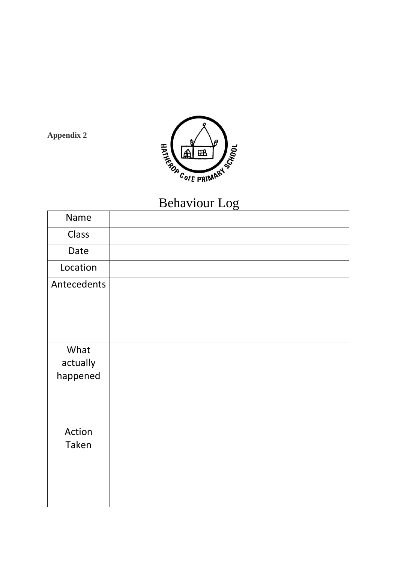

**Appendix 2**

# Behaviour Log

| Name                         |  |
|------------------------------|--|
| Class                        |  |
| Date                         |  |
| Location                     |  |
| Antecedents                  |  |
| What<br>actually<br>happened |  |
| Action<br>Taken              |  |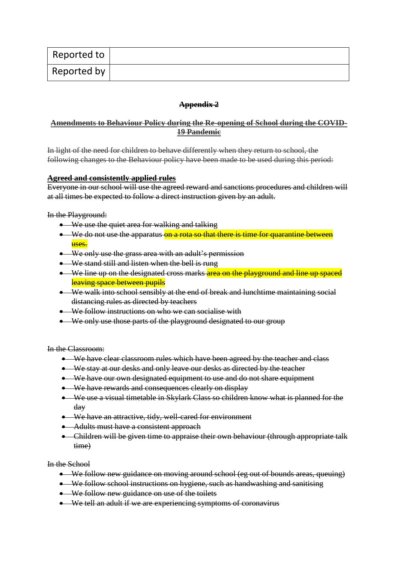| Reported to |  |
|-------------|--|
| Reported by |  |

#### **Appendix 2**

#### **Amendments to Behaviour Policy during the Re-opening of School during the COVID-19 Pandemic**

In light of the need for children to behave differently when they return to school, the following changes to the Behaviour policy have been made to be used during this period:

#### **Agreed and consistently applied rules**

Everyone in our school will use the agreed reward and sanctions procedures and children will at all times be expected to follow a direct instruction given by an adult.

In the Playground:

- We use the quiet area for walking and talking
- We do not use the apparatus on a rota so that there is time for quarantine between uses.
- We only use the grass area with an adult's permission
- We stand still and listen when the bell is rung
- We line up on the designated cross marks area on the playground and line up spaced leaving space between pupils
- We walk into school sensibly at the end of break and lunchtime maintaining social distancing rules as directed by teachers
- We follow instructions on who we can socialise with
- We only use those parts of the playground designated to our group

In the Classroom:

- We have clear classroom rules which have been agreed by the teacher and class
- We stay at our desks and only leave our desks as directed by the teacher
- We have our own designated equipment to use and do not share equipment
- We have rewards and consequences clearly on display
- We use a visual timetable in Skylark Class so children know what is planned for the day
- We have an attractive, tidy, well-cared for environment
- Adults must have a consistent approach
- Children will be given time to appraise their own behaviour (through appropriate talk time)

In the School

- We follow new guidance on moving around school (eg out of bounds areas, queuing)
- We follow school instructions on hygiene, such as handwashing and sanitising
- We follow new guidance on use of the toilets
- We tell an adult if we are experiencing symptoms of coronavirus